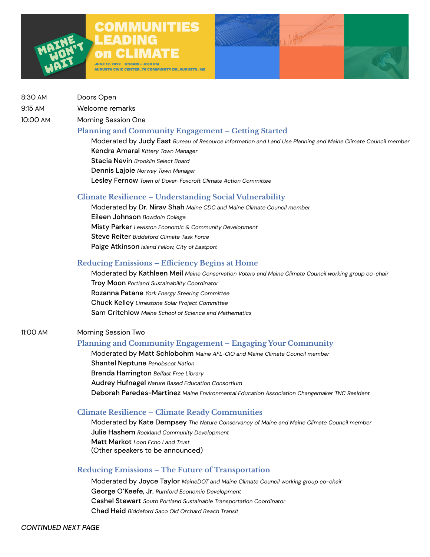# COMMUNITIES LEADING on CLIMATE

JUNE 17, 2022 8:30AM – 4:00 PM AUGUSTA CIVIC CENTER, 76 COMMUNITY DR, AUGUSTA, ME MARY

- 8:30 AM Doors Open
- 9:15 AM Welcome remarks

10:00 AM Morning Session One

## **Planning and Community Engagement – Getting Started**

Moderated by Judy East *Bureau of Resource Information and Land Use Planning and Maine Climate Council member* Kendra Amaral *Kittery Town Manager* Stacia Nevin *Brooklin Select Board* Dennis Lajoie *Norway Town Manager* Lesley Fernow *Town of Dover-Foxcroft Climate Action Committee*

## **Climate Resilience – Understanding Social Vulnerability**

Moderated by Dr. Nirav Shah *Maine CDC and Maine Climate Council member* Eileen Johnson *Bowdoin College* Misty Parker *Lewiston Economic & Community Development* Steve Reiter *Biddeford Climate Task Force*  Paige Atkinson *Island Fellow, City of Eastport* 

# **Reducing Emissions – Efficiency Begins at Home**

Moderated by Kathleen Meil *Maine Conservation Voters and Maine Climate Council working group co-chair* Troy Moon *Portland Sustainability Coordinator* Rozanna Patane *York Energy Steering Committee* Chuck Kelley *Limestone Solar Project Committee*  Sam Critchlow *Maine School of Science and Mathematics*

#### 11:00 AM Morning Session Two

# **Planning and Community Engagement – Engaging Your Community**

Moderated by Matt Schlobohm *Maine AFL-CIO and Maine Climate Council member* Shantel Neptune *Penobscot Nation* Brenda Harrington *Belfast Free Library* Audrey Hufnagel *Nature Based Education Consortium* Deborah Paredes-Martinez *Maine Environmental Education Association Changemaker TNC Resident*

# **Climate Resilience – Climate Ready Communities**

Moderated by Kate Dempsey *The Nature Conservancy of Maine and Maine Climate Council member* Julie Hashem *Rockland Community Development* Matt Markot *Loon Echo Land Trust* (Other speakers to be announced)

# **Reducing Emissions – The Future of Transportation**

Moderated by Joyce Taylor *MaineDOT and Maine Climate Council working group co-chair* George O'Keefe, Jr. *Rumford Economic Development* Cashel Stewart *South Portland Sustainable Transportation Coordinator* Chad Heid *Biddeford Saco Old Orchard Beach Transit*